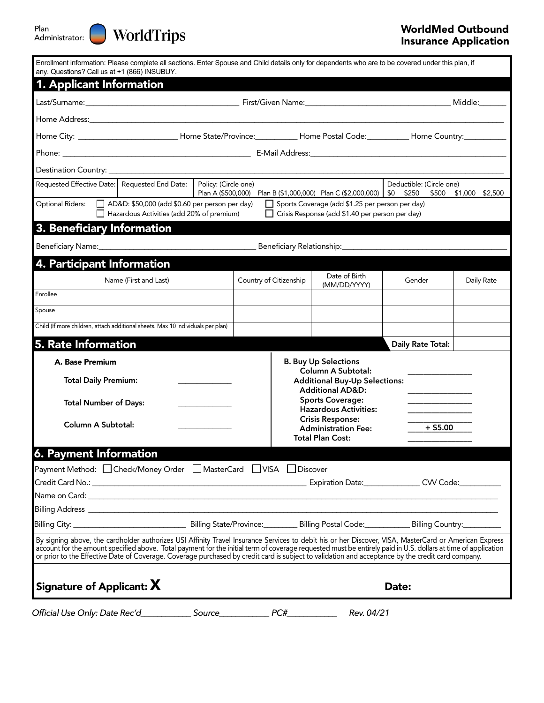

| Enrollment information: Please complete all sections. Enter Spouse and Child details only for dependents who are to be covered under this plan, if<br>any. Questions? Call us at +1 (866) INSUBUY.                                                                                                                                                                                                                                                                          |                                                                                                                                                                                                     |            |                        |                                                                     |                                                                   |                   |            |
|-----------------------------------------------------------------------------------------------------------------------------------------------------------------------------------------------------------------------------------------------------------------------------------------------------------------------------------------------------------------------------------------------------------------------------------------------------------------------------|-----------------------------------------------------------------------------------------------------------------------------------------------------------------------------------------------------|------------|------------------------|---------------------------------------------------------------------|-------------------------------------------------------------------|-------------------|------------|
| 1. Applicant Information                                                                                                                                                                                                                                                                                                                                                                                                                                                    |                                                                                                                                                                                                     |            |                        |                                                                     |                                                                   |                   |            |
|                                                                                                                                                                                                                                                                                                                                                                                                                                                                             |                                                                                                                                                                                                     |            |                        |                                                                     |                                                                   |                   |            |
|                                                                                                                                                                                                                                                                                                                                                                                                                                                                             |                                                                                                                                                                                                     |            |                        |                                                                     |                                                                   |                   |            |
| Home City: ____________________________Home State/Province:__________Home Postal Code:__________Home Country:____________                                                                                                                                                                                                                                                                                                                                                   |                                                                                                                                                                                                     |            |                        |                                                                     |                                                                   |                   |            |
|                                                                                                                                                                                                                                                                                                                                                                                                                                                                             |                                                                                                                                                                                                     |            |                        |                                                                     |                                                                   |                   |            |
|                                                                                                                                                                                                                                                                                                                                                                                                                                                                             |                                                                                                                                                                                                     |            |                        |                                                                     |                                                                   |                   |            |
| Policy: (Circle one)<br>Requested Effective Date:   Requested End Date:<br>Plan A (\$500,000) Plan B (\$1,000,000) Plan C (\$2,000,000)                                                                                                                                                                                                                                                                                                                                     |                                                                                                                                                                                                     |            |                        | Deductible: (Circle one)<br>\$0 \$250 \$500 \$1,000 \$2,500         |                                                                   |                   |            |
| Optional Riders:                                                                                                                                                                                                                                                                                                                                                                                                                                                            | AD&D: \$50,000 (add \$0.60 per person per day)<br>□ Sports Coverage (add \$1.25 per person per day)<br>Hazardous Activities (add 20% of premium)<br>Crisis Response (add \$1.40 per person per day) |            |                        |                                                                     |                                                                   |                   |            |
| 3. Beneficiary Information                                                                                                                                                                                                                                                                                                                                                                                                                                                  |                                                                                                                                                                                                     |            |                        |                                                                     |                                                                   |                   |            |
|                                                                                                                                                                                                                                                                                                                                                                                                                                                                             |                                                                                                                                                                                                     |            |                        |                                                                     |                                                                   |                   |            |
| 4. Participant Information                                                                                                                                                                                                                                                                                                                                                                                                                                                  |                                                                                                                                                                                                     |            |                        |                                                                     |                                                                   |                   |            |
|                                                                                                                                                                                                                                                                                                                                                                                                                                                                             | Name (First and Last)                                                                                                                                                                               |            | Country of Citizenship |                                                                     | Date of Birth<br>(MM/DD/YYYY)                                     | Gender            | Daily Rate |
| Enrollee                                                                                                                                                                                                                                                                                                                                                                                                                                                                    |                                                                                                                                                                                                     |            |                        |                                                                     |                                                                   |                   |            |
| Spouse                                                                                                                                                                                                                                                                                                                                                                                                                                                                      |                                                                                                                                                                                                     |            |                        |                                                                     |                                                                   |                   |            |
| Child (If more children, attach additional sheets. Max 10 individuals per plan)                                                                                                                                                                                                                                                                                                                                                                                             |                                                                                                                                                                                                     |            |                        |                                                                     |                                                                   |                   |            |
| 5. Rate Information                                                                                                                                                                                                                                                                                                                                                                                                                                                         |                                                                                                                                                                                                     |            |                        |                                                                     |                                                                   | Daily Rate Total: |            |
| A. Base Premium                                                                                                                                                                                                                                                                                                                                                                                                                                                             |                                                                                                                                                                                                     |            |                        |                                                                     | <b>B. Buy Up Selections</b>                                       |                   |            |
| <b>Total Daily Premium:</b>                                                                                                                                                                                                                                                                                                                                                                                                                                                 |                                                                                                                                                                                                     |            |                        |                                                                     | <b>Column A Subtotal:</b><br><b>Additional Buy-Up Selections:</b> |                   |            |
|                                                                                                                                                                                                                                                                                                                                                                                                                                                                             |                                                                                                                                                                                                     |            |                        |                                                                     | <b>Additional AD&amp;D:</b><br><b>Sports Coverage:</b>            |                   |            |
| <b>Total Number of Days:</b>                                                                                                                                                                                                                                                                                                                                                                                                                                                |                                                                                                                                                                                                     |            |                        |                                                                     | <b>Hazardous Activities:</b>                                      |                   |            |
| Column A Subtotal:                                                                                                                                                                                                                                                                                                                                                                                                                                                          |                                                                                                                                                                                                     |            |                        | <b>Crisis Response:</b><br>$+$ \$5.00<br><b>Administration Fee:</b> |                                                                   |                   |            |
|                                                                                                                                                                                                                                                                                                                                                                                                                                                                             |                                                                                                                                                                                                     |            |                        |                                                                     | <b>Total Plan Cost:</b>                                           |                   |            |
| 6. Payment Information                                                                                                                                                                                                                                                                                                                                                                                                                                                      |                                                                                                                                                                                                     |            |                        |                                                                     |                                                                   |                   |            |
| Payment Method: □ Check/Money Order □ MasterCard □ VISA □ Discover                                                                                                                                                                                                                                                                                                                                                                                                          |                                                                                                                                                                                                     |            |                        |                                                                     |                                                                   |                   |            |
|                                                                                                                                                                                                                                                                                                                                                                                                                                                                             |                                                                                                                                                                                                     |            |                        |                                                                     | Expiration Date: CVV Code:                                        |                   |            |
|                                                                                                                                                                                                                                                                                                                                                                                                                                                                             |                                                                                                                                                                                                     |            |                        |                                                                     |                                                                   |                   |            |
|                                                                                                                                                                                                                                                                                                                                                                                                                                                                             |                                                                                                                                                                                                     |            |                        |                                                                     |                                                                   |                   |            |
| By signing above, the cardholder authorizes USI Affinity Travel Insurance Services to debit his or her Discover, VISA, MasterCard or American Express<br>account for the amount specified above. Total payment for the initial term of coverage requested must be entirely paid in U.S. dollars at time of application<br>or prior to the Effective Date of Coverage. Coverage purchased by credit card is subject to validation and acceptance by the credit card company. |                                                                                                                                                                                                     |            |                        |                                                                     |                                                                   |                   |            |
| Signature of Applicant: X                                                                                                                                                                                                                                                                                                                                                                                                                                                   |                                                                                                                                                                                                     |            |                        |                                                                     |                                                                   | Date:             |            |
| Official Use Only: Date Rec'd                                                                                                                                                                                                                                                                                                                                                                                                                                               |                                                                                                                                                                                                     | Source____ |                        | PC#                                                                 | Rev. 04/21                                                        |                   |            |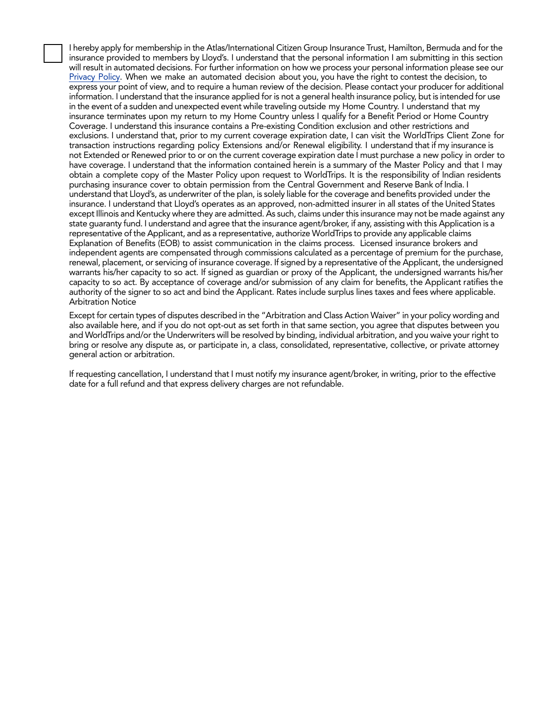I hereby apply for membership in the Atlas/International Citizen Group Insurance Trust, Hamilton, Bermuda and for the insurance provided to members by Lloyd's. I understand that the personal information I am submitting in this section will result in automated decisions. For further information on how we process your personal information please see our [Privacy Policy.](https://www.worldtrips.com/about-worldtrips/privacy-policy/) When we make an automated decision about you, you have the right to contest the decision, to express your point of view, and to require a human review of the decision. Please contact your producer for additional information. I understand that the insurance applied for is not a general health insurance policy, but is intended for use in the event of a sudden and unexpected event while traveling outside my Home Country. I understand that my insurance terminates upon my return to my Home Country unless I qualify for a Benefit Period or Home Country Coverage. I understand this insurance contains a Pre-existing Condition exclusion and other restrictions and exclusions. I understand that, prior to my current coverage expiration date, I can visit the WorldTrips Client Zone for transaction instructions regarding policy Extensions and/or Renewal eligibility. I understand that if my insurance is not Extended or Renewed prior to or on the current coverage expiration date I must purchase a new policy in order to have coverage. I understand that the information contained herein is a summary of the Master Policy and that I may obtain a complete copy of the Master Policy upon request to WorldTrips. It is the responsibility of Indian residents purchasing insurance cover to obtain permission from the Central Government and Reserve Bank of India. I understand that Lloyd's, as underwriter of the plan, is solely liable for the coverage and benefits provided under the insurance. I understand that Lloyd's operates as an approved, non-admitted insurer in all states of the United States except Illinois and Kentucky where they are admitted. As such, claims under this insurance may not be made against any state guaranty fund. I understand and agree that the insurance agent/broker, if any, assisting with this Application is a representative of the Applicant, and as a representative, authorize WorldTrips to provide any applicable claims Explanation of Benefits (EOB) to assist communication in the claims process. Licensed insurance brokers and independent agents are compensated through commissions calculated as a percentage of premium for the purchase, renewal, placement, or servicing of insurance coverage. If signed by a representative of the Applicant, the undersigned warrants his/her capacity to so act. If signed as guardian or proxy of the Applicant, the undersigned warrants his/her capacity to so act. By acceptance of coverage and/or submission of any claim for benefits, the Applicant ratifies the authority of the signer to so act and bind the Applicant. Rates include surplus lines taxes and fees where applicable. Arbitration Notice

Except for certain types of disputes described in the "Arbitration and Class Action Waiver" in your policy wording and also available here, and if you do not opt-out as set forth in that same section, you agree that disputes between you and WorldTrips and/or the Underwriters will be resolved by binding, individual arbitration, and you waive your right to bring or resolve any dispute as, or participate in, a class, consolidated, representative, collective, or private attorney general action or arbitration.

If requesting cancellation, I understand that I must notify my insurance agent/broker, in writing, prior to the effective date for a full refund and that express delivery charges are not refundable.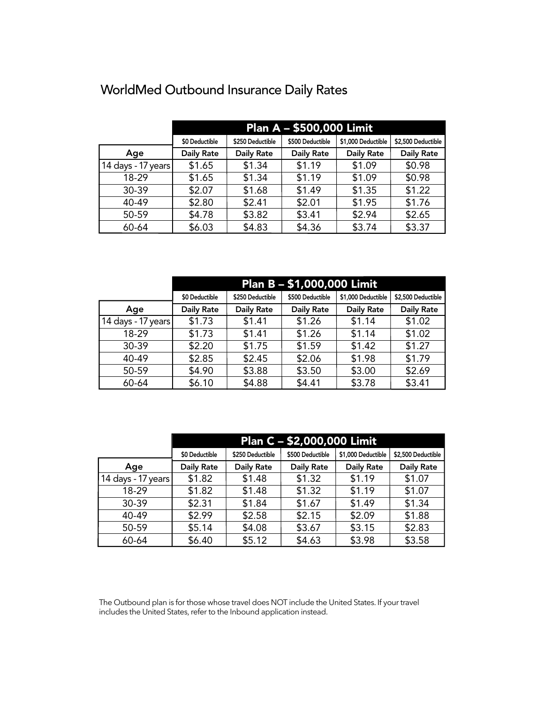|                    | <b>Plan A - \$500,000 Limit</b> |                   |                   |                    |                    |  |  |
|--------------------|---------------------------------|-------------------|-------------------|--------------------|--------------------|--|--|
|                    | \$0 Deductible                  | \$250 Deductible  | \$500 Deductible  | \$1,000 Deductible | \$2,500 Deductible |  |  |
| Age                | <b>Daily Rate</b>               | <b>Daily Rate</b> | <b>Daily Rate</b> | <b>Daily Rate</b>  | <b>Daily Rate</b>  |  |  |
| 14 days - 17 years | \$1.65                          | \$1.34            | \$1.19            | \$1.09             | \$0.98             |  |  |
| 18-29              | \$1.65                          | \$1.34            | \$1.19            | \$1.09             | \$0.98             |  |  |
| 30-39              | \$2.07                          | \$1.68            | \$1.49            | \$1.35             | \$1.22             |  |  |
| 40-49              | \$2.80                          | \$2.41            | \$2.01            | \$1.95             | \$1.76             |  |  |
| 50-59              | \$4.78                          | \$3.82            | \$3.41            | \$2.94             | \$2.65             |  |  |
| 60-64              | \$6.03                          | \$4.83            | \$4.36            | \$3.74             | \$3.37             |  |  |

# WorldMed Outbound Insurance Daily Rates

|                    | Plan B - \$1,000,000 Limit |                   |                   |                    |                    |  |
|--------------------|----------------------------|-------------------|-------------------|--------------------|--------------------|--|
|                    | \$0 Deductible             | \$250 Deductible  | \$500 Deductible  | \$1,000 Deductible | \$2,500 Deductible |  |
| Age                | <b>Daily Rate</b>          | <b>Daily Rate</b> | <b>Daily Rate</b> | <b>Daily Rate</b>  | <b>Daily Rate</b>  |  |
| 14 days - 17 years | \$1.73                     | \$1.41            | \$1.26            | \$1.14             | \$1.02             |  |
| 18-29              | \$1.73                     | \$1.41            | \$1.26            | \$1.14             | \$1.02             |  |
| 30-39              | \$2.20                     | \$1.75            | \$1.59            | \$1.42             | \$1.27             |  |
| 40-49              | \$2.85                     | \$2.45            | \$2.06            | \$1.98             | \$1.79             |  |
| 50-59              | \$4.90                     | \$3.88            | \$3.50            | \$3.00             | \$2.69             |  |
| 60-64              | \$6.10                     | \$4.88            | \$4.41            | \$3.78             | \$3.41             |  |

|                    | Plan C - \$2,000,000 Limit |                   |                   |                    |                    |  |
|--------------------|----------------------------|-------------------|-------------------|--------------------|--------------------|--|
|                    | \$0 Deductible             | \$250 Deductible  | \$500 Deductible  | \$1,000 Deductible | \$2,500 Deductible |  |
| Age                | <b>Daily Rate</b>          | <b>Daily Rate</b> | <b>Daily Rate</b> | <b>Daily Rate</b>  | <b>Daily Rate</b>  |  |
| 14 days - 17 years | \$1.82                     | \$1.48            | \$1.32            | \$1.19             | \$1.07             |  |
| 18-29              | \$1.82                     | \$1.48            | \$1.32            | \$1.19             | \$1.07             |  |
| 30-39              | \$2.31                     | \$1.84            | \$1.67            | \$1.49             | \$1.34             |  |
| 40-49              | \$2.99                     | \$2.58            | \$2.15            | \$2.09             | \$1.88             |  |
| 50-59              | \$5.14                     | \$4.08            | \$3.67            | \$3.15             | \$2.83             |  |
| 60-64              | \$6.40                     | \$5.12            | \$4.63            | \$3.98             | \$3.58             |  |

The Outbound plan is for those whose travel does NOT include the United States. If your travel includes the United States, refer to the Inbound application instead.